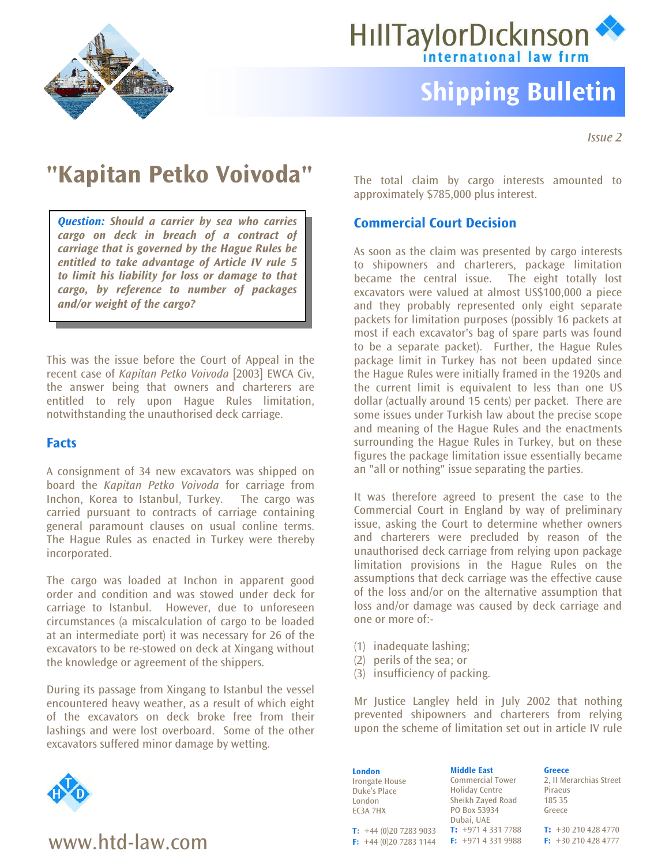



# **Shipping Bulletin**

*Issue 2* 

## **"Kapitan Petko Voivoda"** The total claim by cargo interests amounted to

*Question: Should a carrier by sea who carries cargo on deck in breach of a contract of carriage that is governed by the Hague Rules be entitled to take advantage of Article IV rule 5 to limit his liability for loss or damage to that cargo, by reference to number of packages and/or weight of the cargo?*

This was the issue before the Court of Appeal in the recent case of *Kapitan Petko Voivoda* [2003] EWCA Civ, the answer being that owners and charterers are entitled to rely upon Hague Rules limitation, notwithstanding the unauthorised deck carriage.

## **Facts**

A consignment of 34 new excavators was shipped on board the *Kapitan Petko Voivoda* for carriage from Inchon, Korea to Istanbul, Turkey. The cargo was carried pursuant to contracts of carriage containing general paramount clauses on usual conline terms. The Hague Rules as enacted in Turkey were thereby incorporated.

The cargo was loaded at Inchon in apparent good order and condition and was stowed under deck for carriage to Istanbul. However, due to unforeseen circumstances (a miscalculation of cargo to be loaded at an intermediate port) it was necessary for 26 of the excavators to be re-stowed on deck at Xingang without the knowledge or agreement of the shippers.

During its passage from Xingang to Istanbul the vessel encountered heavy weather, as a result of which eight of the excavators on deck broke free from their lashings and were lost overboard. Some of the other excavators suffered minor damage by wetting.



# www.htd-law.com **Fixable**

approximately \$785,000 plus interest.

## **Commercial Court Decision**

As soon as the claim was presented by cargo interests to shipowners and charterers, package limitation became the central issue. The eight totally lost excavators were valued at almost US\$100,000 a piece and they probably represented only eight separate packets for limitation purposes (possibly 16 packets at most if each excavator's bag of spare parts was found to be a separate packet). Further, the Hague Rules package limit in Turkey has not been updated since the Hague Rules were initially framed in the 1920s and the current limit is equivalent to less than one US dollar (actually around 15 cents) per packet. There are some issues under Turkish law about the precise scope and meaning of the Hague Rules and the enactments surrounding the Hague Rules in Turkey, but on these figures the package limitation issue essentially became an "all or nothing" issue separating the parties.

It was therefore agreed to present the case to the Commercial Court in England by way of preliminary issue, asking the Court to determine whether owners and charterers were precluded by reason of the unauthorised deck carriage from relying upon package limitation provisions in the Hague Rules on the assumptions that deck carriage was the effective cause of the loss and/or on the alternative assumption that loss and/or damage was caused by deck carriage and one or more of:-

- (1) inadequate lashing;
- (2) perils of the sea; or
- (3) insufficiency of packing.

Mr Justice Langley held in July 2002 that nothing prevented shipowners and charterers from relying upon the scheme of limitation set out in article IV rule

|                              | <b>Middle East</b>      | <b>Greece</b>           |
|------------------------------|-------------------------|-------------------------|
| <b>London</b>                |                         |                         |
| <b>Irongate House</b>        | <b>Commercial Tower</b> | 2. II Merarchias Street |
| Duke's Place                 | <b>Holiday Centre</b>   | Piraeus                 |
| London                       | Sheikh Zayed Road       | 185 35                  |
| EC3A 7HX                     | PO Box 53934            | Greece                  |
|                              | Dubai, UAE              |                         |
| <b>T:</b> $+44(0)2072839033$ | $T: +97143317788$       | $T: +302104284770$      |
| F: $+44(0)2072831144$        | $F: +97143319988$       | $F: +302104284777$      |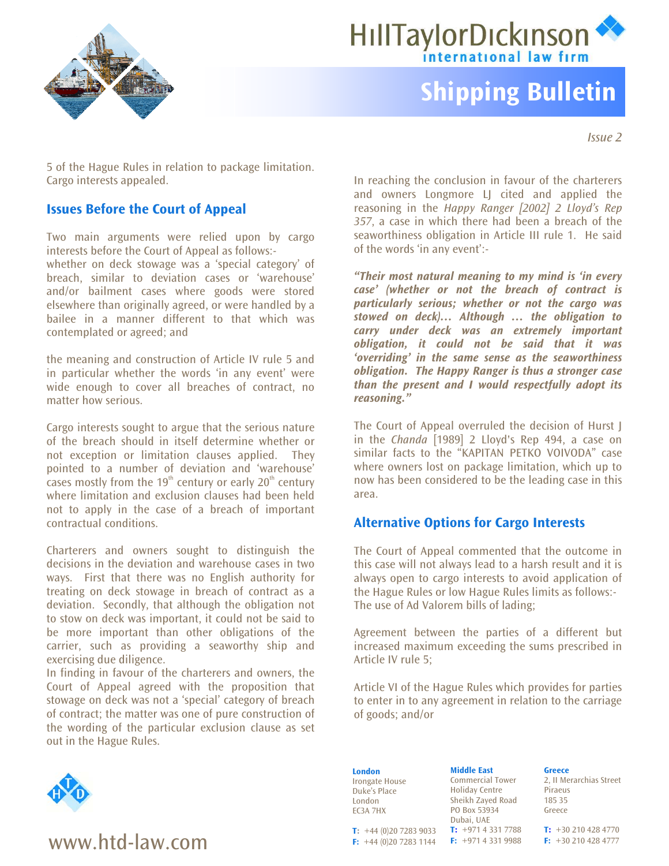



# **Shipping Bulletin**

*Issue 2* 

5 of the Hague Rules in relation to package limitation. Cargo interests appealed. In reaching the conclusion in favour of the charterers

## **Issues Before the Court of Appeal**

Two main arguments were relied upon by cargo interests before the Court of Appeal as follows: whether on deck stowage was a 'special category' of breach, similar to deviation cases or 'warehouse' and/or bailment cases where goods were stored elsewhere than originally agreed, or were handled by a bailee in a manner different to that which was contemplated or agreed; and

the meaning and construction of Article IV rule 5 and in particular whether the words 'in any event' were wide enough to cover all breaches of contract, no matter how serious.

Cargo interests sought to argue that the serious nature of the breach should in itself determine whether or not exception or limitation clauses applied. They pointed to a number of deviation and 'warehouse' cases mostly from the 19<sup>th</sup> century or early 20<sup>th</sup> century where limitation and exclusion clauses had been held not to apply in the case of a breach of important contractual conditions. **Alternative Options for Cargo Interests** 

Charterers and owners sought to distinguish the decisions in the deviation and warehouse cases in two ways. First that there was no English authority for treating on deck stowage in breach of contract as a deviation. Secondly, that although the obligation not to stow on deck was important, it could not be said to be more important than other obligations of the carrier, such as providing a seaworthy ship and exercising due diligence.

In finding in favour of the charterers and owners, the Court of Appeal agreed with the proposition that stowage on deck was not a 'special' category of breach of contract; the matter was one of pure construction of the wording of the particular exclusion clause as set out in the Hague Rules.



## **WWW.htd-law.com <b>F:**  $+44(0)2072833144$  **F:**  $+97143319988$  **F:**  $+302104284777$

and owners Longmore LJ cited and applied the reasoning in the *Happy Ranger [2002] 2 Lloyd's Rep 357*, a case in which there had been a breach of the seaworthiness obligation in Article III rule 1. He said of the words 'in any event':-

*"Their most natural meaning to my mind is 'in every case' (whether or not the breach of contract is particularly serious; whether or not the cargo was stowed on deck)… Although … the obligation to carry under deck was an extremely important obligation, it could not be said that it was 'overriding' in the same sense as the seaworthiness obligation. The Happy Ranger is thus a stronger case than the present and I would respectfully adopt its reasoning."* 

The Court of Appeal overruled the decision of Hurst J in the *Chanda* [1989] 2 Lloyd's Rep 494, a case on similar facts to the "KAPITAN PETKO VOIVODA" case where owners lost on package limitation, which up to now has been considered to be the leading case in this area.

The Court of Appeal commented that the outcome in this case will not always lead to a harsh result and it is always open to cargo interests to avoid application of the Hague Rules or low Hague Rules limits as follows:- The use of Ad Valorem bills of lading;

Agreement between the parties of a different but increased maximum exceeding the sums prescribed in Article IV rule 5;

Article VI of the Hague Rules which provides for parties to enter in to any agreement in relation to the carriage of goods; and/or

**London** Irongate House Duke's Place London EC3A 7HX

**T:** +44 (0)20 7283 9033

Commercial Tower Holiday Centre Sheikh Zayed Road PO Box 53934 Dubai, UAE **T:** +971 4 331 7788 **F:** +971 4 331 9988 **F:** +44 (0)20 7283 1144

**Middle East**

**Greece** 2, II Merarchias Street Piraeus 185 35 Greece

**T:** +30 210 428 4770